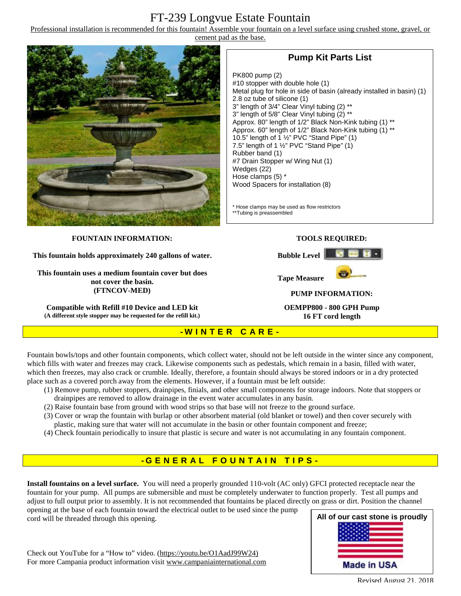# FT-239 Longvue Estate Fountain

Professional installation is recommended for this fountain! Assemble your fountain on a level surface using crushed stone, gravel, or cement pad as the base.



## **Pump Kit Parts List**

PK800 pump (2) #10 stopper with double hole (1) Metal plug for hole in side of basin (already installed in basin) (1) 2.8 oz tube of silicone (1) 3" length of 3/4" Clear Vinyl tubing (2) \*\* 3" length of 5/8" Clear Vinyl tubing (2) \*\* Approx. 80" length of 1/2" Black Non-Kink tubing (1) \*\* Approx. 60" length of 1/2" Black Non-Kink tubing (1) \*\* 10.5" length of 1 ½" PVC "Stand Pipe" (1) 7.5" length of 1  $\frac{1}{2}$ " PVC "Stand Pipe" (1) Rubber band (1) #7 Drain Stopper w/ Wing Nut (1) Wedges (22) Hose clamps (5) \* Wood Spacers for installation (8)

\* Hose clamps may be used as flow restrictors \*\*Tubing is preassembled

#### **FOUNTAIN INFORMATION:**

**This fountain holds approximately 240 gallons of water.** 

**This fountain uses a medium fountain cover but does not cover the basin. (FTNCOV-MED)** 

**Compatible with Refill #10 Device and LED kit (A different style stopper may be requested for the refill kit.)**

#### **TOOLS REQUIRED:**



**PUMP INFORMATION:** 

**OEMPP800 - 800 GPH Pump 16 FT cord length**

#### **- W I N T E R C A R E -**

Fountain bowls/tops and other fountain components, which collect water, should not be left outside in the winter since any component, which fills with water and freezes may crack. Likewise components such as pedestals, which remain in a basin, filled with water, which then freezes, may also crack or crumble. Ideally, therefore, a fountain should always be stored indoors or in a dry protected place such as a covered porch away from the elements. However, if a fountain must be left outside:

- (1) Remove pump, rubber stoppers, drainpipes, finials, and other small components for storage indoors. Note that stoppers or drainpipes are removed to allow drainage in the event water accumulates in any basin.
- (2) Raise fountain base from ground with wood strips so that base will not freeze to the ground surface.
- (3) Cover or wrap the fountain with burlap or other absorbent material (old blanket or towel) and then cover securely with plastic, making sure that water will not accumulate in the basin or other fountain component and freeze;
- (4) Check fountain periodically to insure that plastic is secure and water is not accumulating in any fountain component.

## **- G ENE R A L F O U N T A I N T I P S -**

**Install fountains on a level surface.** You will need a properly grounded 110-volt (AC only) GFCI protected receptacle near the fountain for your pump. All pumps are submersible and must be completely underwater to function properly. Test all pumps and adjust to full output prior to assembly. It is not recommended that fountains be placed directly on grass or dirt. Position the channel

opening at the base of each fountain toward the electrical outlet to be used since the pump cord will be threaded through this opening.

**All of our cast stone is proudly Made in USA** 

Check out YouTube for a "How to" video. [\(https://youtu.be/O1AadJ99W24\)](https://youtu.be/O1AadJ99W24)) For more Campania product information visit [www.campaniainternational.com](http://www.campaniainternational.com)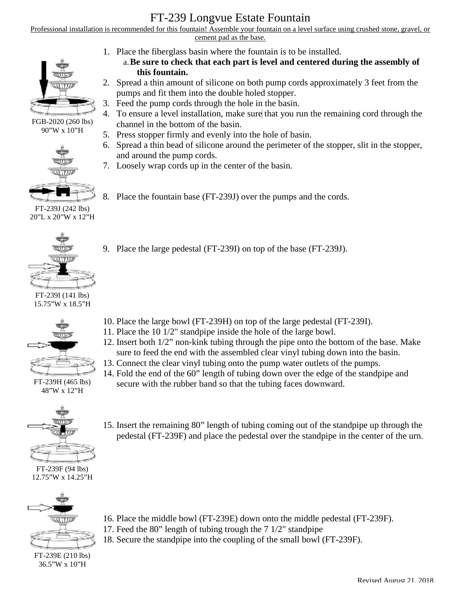# FT-239 Longvue Estate Fountain

Professional installation is recommended for this fountain! Assemble your fountain on a level surface using crushed stone, gravel, or cement pad as the base.



FGB-2020 (260 lbs) 90"W x 10"H



FT-239J (242 lbs) 20"L x 20"W x 12"H



FT-239I (141 lbs) 15.75"W x 18.5"H



FT-239H (465 lbs) 48"W x 12"H



FT-239F (94 lbs) 12.75"W x 14.25"H



FT-239E (210 lbs) 36.5"W x 10"H

- 1. Place the fiberglass basin where the fountain is to be installed.
	- a.**Be sure to check that each part is level and centered during the assembly of this fountain.**
- 2. Spread a thin amount of silicone on both pump cords approximately 3 feet from the pumps and fit them into the double holed stopper.
- 3. Feed the pump cords through the hole in the basin.
- 4. To ensure a level installation, make sure that you run the remaining cord through the channel in the bottom of the basin.
- 5. Press stopper firmly and evenly into the hole of basin.
- 6. Spread a thin bead of silicone around the perimeter of the stopper, slit in the stopper, and around the pump cords.
- 7. Loosely wrap cords up in the center of the basin.
- 8. Place the fountain base (FT-239J) over the pumps and the cords.
- 9. Place the large pedestal (FT-239I) on top of the base (FT-239J).

- 10. Place the large bowl (FT-239H) on top of the large pedestal (FT-239I).
- 11. Place the 10 1/2" standpipe inside the hole of the large bowl.
- 12. Insert both 1/2" non-kink tubing through the pipe onto the bottom of the base. Make sure to feed the end with the assembled clear vinyl tubing down into the basin.
- 13. Connect the clear vinyl tubing onto the pump water outlets of the pumps.
- 14. Fold the end of the 60" length of tubing down over the edge of the standpipe and secure with the rubber band so that the tubing faces downward.
- 15. Insert the remaining 80" length of tubing coming out of the standpipe up through the pedestal (FT-239F) and place the pedestal over the standpipe in the center of the urn.

- 16. Place the middle bowl (FT-239E) down onto the middle pedestal (FT-239F).
- 17. Feed the 80" length of tubing trough the 7 1/2" standpipe
- 18. Secure the standpipe into the coupling of the small bowl (FT-239F).